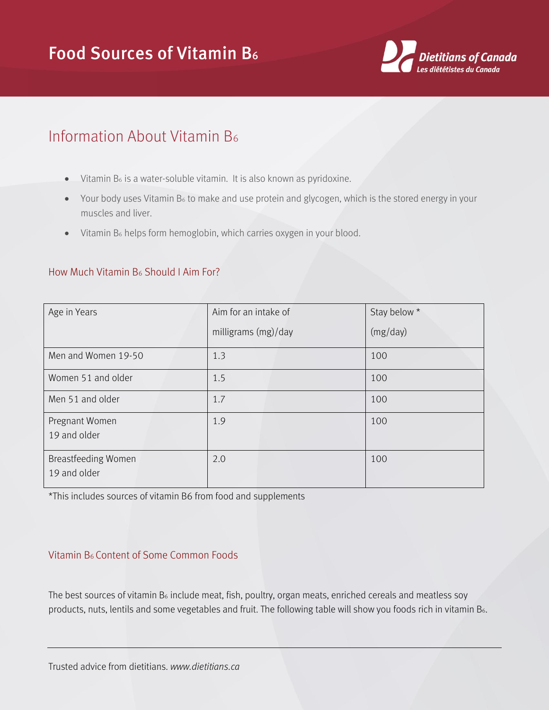## Food Sources of Vitamin B<sup>6</sup>



## Information About Vitamin B<sup>6</sup>

- $\bullet$  Vitamin B<sub>6</sub> is a water-soluble vitamin. It is also known as pyridoxine.
- Your body uses Vitamin B<sub>6</sub> to make and use protein and glycogen, which is the stored energy in your muscles and liver.
- Vitamin B<sub>6</sub> helps form hemoglobin, which carries oxygen in your blood.

## How Much Vitamin B<sup>6</sup> Should I Aim For?

| Age in Years                               | Aim for an intake of | Stay below * |
|--------------------------------------------|----------------------|--------------|
|                                            | milligrams (mg)/day  | (mg/day)     |
| Men and Women 19-50                        | 1.3                  | 100          |
| Women 51 and older                         | 1.5                  | 100          |
| Men 51 and older                           | 1.7                  | 100          |
| Pregnant Women<br>19 and older             | 1.9                  | 100          |
| <b>Breastfeeding Women</b><br>19 and older | 2.0                  | 100          |

\*This includes sources of vitamin B6 from food and supplements

## Vitamin B6 Content of Some Common Foods

The best sources of vitamin B6 include meat, fish, poultry, organ meats, enriched cereals and meatless soy products, nuts, lentils and some vegetables and fruit. The following table will show you foods rich in vitamin B<sub>6</sub>.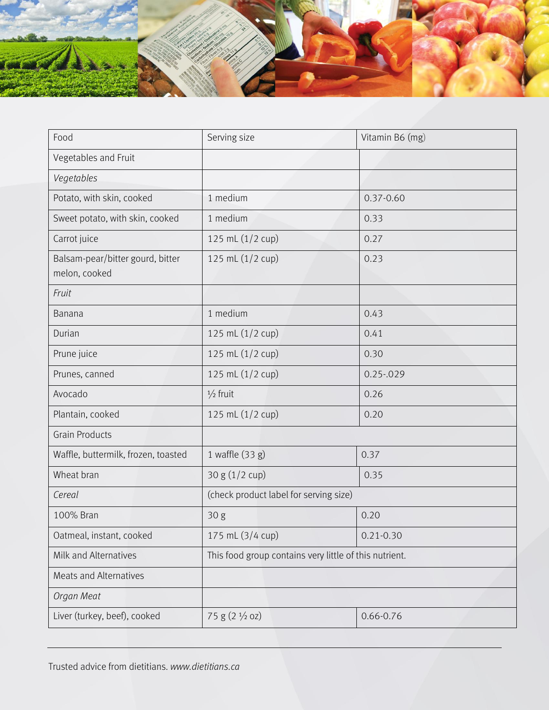

| Food                                              | Serving size                                           | Vitamin B6 (mg) |
|---------------------------------------------------|--------------------------------------------------------|-----------------|
| Vegetables and Fruit                              |                                                        |                 |
| Vegetables                                        |                                                        |                 |
| Potato, with skin, cooked                         | 1 medium                                               | $0.37 - 0.60$   |
| Sweet potato, with skin, cooked                   | 1 medium                                               | 0.33            |
| Carrot juice                                      | 125 mL (1/2 cup)                                       | 0.27            |
| Balsam-pear/bitter gourd, bitter<br>melon, cooked | 125 mL (1/2 cup)                                       | 0.23            |
| Fruit                                             |                                                        |                 |
| Banana                                            | 1 medium                                               | 0.43            |
| Durian                                            | 125 mL (1/2 cup)                                       | 0.41            |
| Prune juice                                       | 125 mL (1/2 cup)                                       | 0.30            |
| Prunes, canned                                    | 125 mL (1/2 cup)                                       | $0.25 - 029$    |
| Avocado                                           | $\frac{1}{2}$ fruit                                    | 0.26            |
| Plantain, cooked                                  | 125 mL (1/2 cup)                                       | 0.20            |
| <b>Grain Products</b>                             |                                                        |                 |
| Waffle, buttermilk, frozen, toasted               | 1 waffle (33 g)                                        | 0.37            |
| Wheat bran                                        | 30 g (1/2 cup)                                         | 0.35            |
| Cereal                                            | (check product label for serving size)                 |                 |
| 100% Bran                                         | 30 g                                                   | 0.20            |
| Oatmeal, instant, cooked                          | 175 mL (3/4 cup)                                       | $0.21 - 0.30$   |
| Milk and Alternatives                             | This food group contains very little of this nutrient. |                 |
| Meats and Alternatives                            |                                                        |                 |
| Organ Meat                                        |                                                        |                 |
| Liver (turkey, beef), cooked                      | 75 g (2 1/2 oz)                                        | $0.66 - 0.76$   |

Trusted advice from dietitians. *www.dietitians.ca*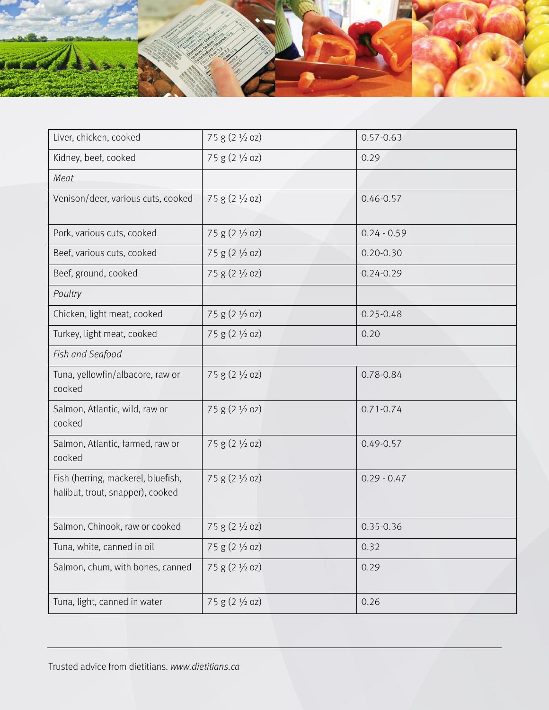

| Liver, chicken, cooked                                                 | 75 g $(2 \frac{1}{2}$ oz) | $0.57 - 0.63$ |
|------------------------------------------------------------------------|---------------------------|---------------|
| Kidney, beef, cooked                                                   | 75 g (2 1/2 oz)           | 0.29          |
| Meat                                                                   |                           |               |
| Venison/deer, various cuts, cooked                                     | 75 g (2 1/2 oz)           | $0.46 - 0.57$ |
| Pork, various cuts, cooked                                             | 75 g (2 1/2 oz)           | $0.24 - 0.59$ |
| Beef, various cuts, cooked                                             | 75 g $(2 \frac{1}{2}$ oz) | $0.20 - 0.30$ |
| Beef, ground, cooked                                                   | $75 g (2 \frac{1}{2} oz)$ | $0.24 - 0.29$ |
| Poultry                                                                |                           |               |
| Chicken, light meat, cooked                                            | 75 g (2 1/2 oz)           | $0.25 - 0.48$ |
| Turkey, light meat, cooked                                             | 75 g $(2 \frac{1}{2}$ oz) | 0.20          |
| Fish and Seafood                                                       |                           |               |
| Tuna, yellowfin/albacore, raw or<br>cooked                             | 75 g (2 1/2 oz)           | 0.78-0.84     |
| Salmon, Atlantic, wild, raw or<br>cooked                               | 75 g $(2 \frac{1}{2}$ oz) | $0.71 - 0.74$ |
| Salmon, Atlantic, farmed, raw or<br>cooked                             | 75 g (2 1/2 oz)           | $0.49 - 0.57$ |
| Fish (herring, mackerel, bluefish,<br>halibut, trout, snapper), cooked | $75 g (2 \frac{1}{2} oz)$ | $0.29 - 0.47$ |
| Salmon, Chinook, raw or cooked                                         | $75 g (2 \frac{1}{2} oz)$ | $0.35 - 0.36$ |
| Tuna, white, canned in oil                                             | 75 g (2 1/2 oz)           | 0.32          |
| Salmon, chum, with bones, canned                                       | 75 g (2 1/2 oz)           | 0.29          |
| Tuna, light, canned in water                                           | 75 g (2 1/2 oz)           | 0.26          |